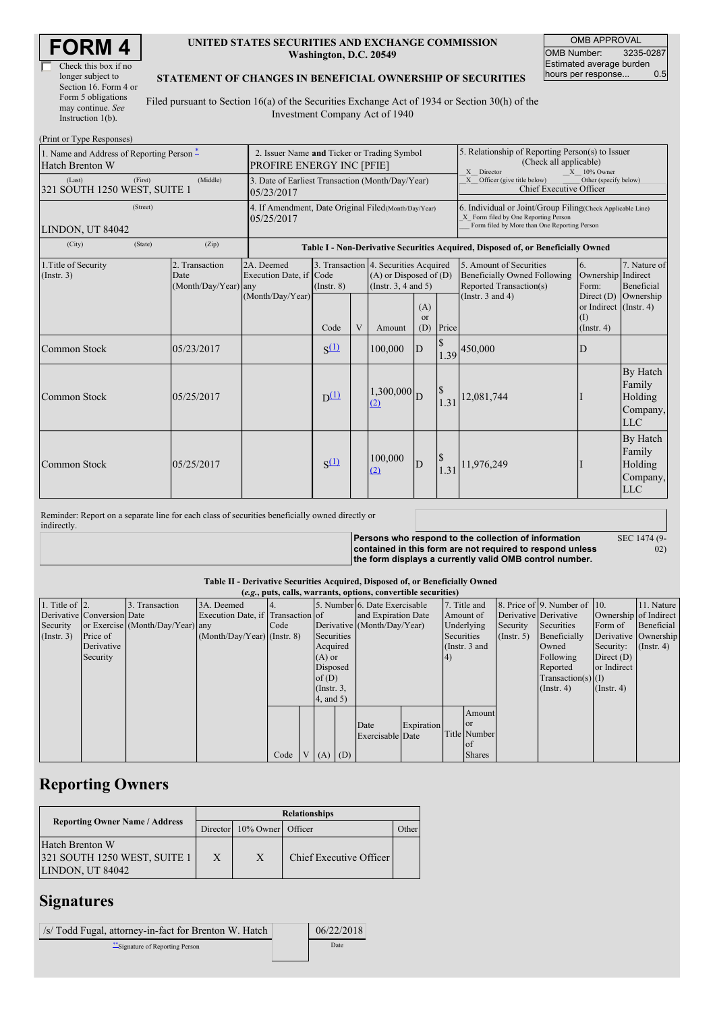| Check this box if no  |  |  |  |  |  |  |  |
|-----------------------|--|--|--|--|--|--|--|
| longer subject to     |  |  |  |  |  |  |  |
| Section 16. Form 4 or |  |  |  |  |  |  |  |
| Form 5 obligations    |  |  |  |  |  |  |  |
| may continue. See     |  |  |  |  |  |  |  |
| Instruction $1(b)$ .  |  |  |  |  |  |  |  |

### **UNITED STATES SECURITIES AND EXCHANGE COMMISSION Washington, D.C. 20549**

OMB APPROVAL OMB Number: 3235-0287 Estimated average burden<br>hours per response... 0.5 hours per response...

#### **STATEMENT OF CHANGES IN BENEFICIAL OWNERSHIP OF SECURITIES**

Filed pursuant to Section 16(a) of the Securities Exchange Act of 1934 or Section 30(h) of the Investment Company Act of 1940

| (Print or Type Responses)                                      |                                                                                 |                                                                                  |                 |   |                                                                                                 |                  |                                                                                                                                                    |                                                                                    |                                                                     |                                                                |  |
|----------------------------------------------------------------|---------------------------------------------------------------------------------|----------------------------------------------------------------------------------|-----------------|---|-------------------------------------------------------------------------------------------------|------------------|----------------------------------------------------------------------------------------------------------------------------------------------------|------------------------------------------------------------------------------------|---------------------------------------------------------------------|----------------------------------------------------------------|--|
| 1. Name and Address of Reporting Person $*$<br>Hatch Brenton W | 2. Issuer Name and Ticker or Trading Symbol<br><b>PROFIRE ENERGY INC [PFIE]</b> |                                                                                  |                 |   |                                                                                                 |                  | 5. Relationship of Reporting Person(s) to Issuer<br>(Check all applicable)<br>X Director<br>$X = 10\%$ Owner                                       |                                                                                    |                                                                     |                                                                |  |
| (First)<br>(Last)<br>321 SOUTH 1250 WEST, SUITE 1              | 3. Date of Earliest Transaction (Month/Day/Year)<br>05/23/2017                  |                                                                                  |                 |   |                                                                                                 |                  | X Officer (give title below)<br>Other (specify below)<br>Chief Executive Officer                                                                   |                                                                                    |                                                                     |                                                                |  |
| (Street)<br>LINDON, UT 84042                                   | 4. If Amendment, Date Original Filed (Month/Day/Year)<br>05/25/2017             |                                                                                  |                 |   |                                                                                                 |                  | 6. Individual or Joint/Group Filing(Check Applicable Line)<br>X Form filed by One Reporting Person<br>Form filed by More than One Reporting Person |                                                                                    |                                                                     |                                                                |  |
| (City)<br>(State)                                              |                                                                                 | Table I - Non-Derivative Securities Acquired, Disposed of, or Beneficially Owned |                 |   |                                                                                                 |                  |                                                                                                                                                    |                                                                                    |                                                                     |                                                                |  |
| 1. Title of Security<br>(Insert. 3)                            | 2. Transaction<br>Date<br>(Month/Day/Year) any                                  | 2A. Deemed<br>Execution Date, if Code<br>(Month/Day/Year)                        | $($ Instr. $8)$ |   | 3. Transaction 4. Securities Acquired<br>$(A)$ or Disposed of $(D)$<br>(Instr. $3, 4$ and $5$ ) |                  |                                                                                                                                                    | 5. Amount of Securities<br>Beneficially Owned Following<br>Reported Transaction(s) | 6.<br>Ownership Indirect<br>Form:                                   | 7. Nature of<br>Beneficial                                     |  |
|                                                                |                                                                                 |                                                                                  | Code            | V | Amount                                                                                          | (A)<br>or<br>(D) | Price                                                                                                                                              | (Instr. $3$ and $4$ )                                                              | Direct (D) Ownership<br>or Indirect (Instr. 4)<br>(I)<br>(Insert 4) |                                                                |  |
| Common Stock                                                   | 05/23/2017                                                                      |                                                                                  | $S^{(1)}$       |   | 100,000                                                                                         | D                |                                                                                                                                                    | $\left 1.39\right ^{450,000}$                                                      | $\mathbf{D}$                                                        |                                                                |  |
| <b>Common Stock</b>                                            | 05/25/2017                                                                      |                                                                                  | $D^{(1)}$       |   | $1,300,000$ <sub>D</sub><br>(2)                                                                 |                  | 1.31                                                                                                                                               | 12,081,744                                                                         |                                                                     | By Hatch<br>Family<br>Holding<br>Company,<br><b>LLC</b>        |  |
| <b>Common Stock</b>                                            | 05/25/2017                                                                      |                                                                                  | $S^{(1)}$       |   | 100,000<br>$\Omega$                                                                             | D                | 1.31                                                                                                                                               | 11,976,249                                                                         |                                                                     | <b>By Hatch</b><br>Family<br>Holding<br>Company,<br><b>LLC</b> |  |

Reminder: Report on a separate line for each class of securities beneficially owned directly or indirectly.

> **Persons who respond to the collection of information contained in this form are not required to respond unless the form displays a currently valid OMB control number.** SEC 1474 (9- 02)

#### **Table II - Derivative Securities Acquired, Disposed of, or Beneficially Owned**

| (e.g., puts, calls, warrants, options, convertible securities) |                            |                                  |                                   |           |          |                             |  |                               |            |                       |                 |                  |                              |                  |                      |
|----------------------------------------------------------------|----------------------------|----------------------------------|-----------------------------------|-----------|----------|-----------------------------|--|-------------------------------|------------|-----------------------|-----------------|------------------|------------------------------|------------------|----------------------|
| 1. Title of $\vert$ 2.                                         |                            | 3. Transaction                   | 3A. Deemed                        | <b>4.</b> |          |                             |  | 5. Number 6. Date Exercisable |            |                       | 7. Title and    |                  | 8. Price of 9. Number of 10. |                  | 11. Nature           |
|                                                                | Derivative Conversion Date |                                  | Execution Date, if Transaction of |           |          | and Expiration Date         |  |                               | Amount of  | Derivative Derivative |                 |                  | Ownership of Indirect        |                  |                      |
| Security                                                       |                            | or Exercise (Month/Day/Year) any |                                   | Code      |          | Derivative (Month/Day/Year) |  |                               | Underlying | Security              | Securities      | Form of          | Beneficial                   |                  |                      |
| (Insert. 3)                                                    | Price of                   |                                  | $(Month/Day/Year)$ (Instr. 8)     |           |          | Securities                  |  |                               |            | Securities            |                 | $($ Instr. 5 $)$ | Beneficially                 |                  | Derivative Ownership |
|                                                                | Derivative                 |                                  |                                   |           |          | Acquired                    |  |                               |            |                       | (Instr. $3$ and |                  | Owned                        | Security:        | $($ Instr. 4)        |
|                                                                | Security                   |                                  |                                   |           |          | $(A)$ or                    |  |                               |            | <b>(4)</b>            |                 |                  | Following                    | Direct $(D)$     |                      |
|                                                                |                            |                                  |                                   |           | Disposed |                             |  |                               |            |                       | Reported        | or Indirect      |                              |                  |                      |
|                                                                |                            |                                  |                                   |           | of $(D)$ |                             |  |                               |            |                       |                 |                  | $Transaction(s)$ (I)         |                  |                      |
|                                                                |                            |                                  |                                   |           |          | $($ Instr. $3,$             |  |                               |            |                       |                 |                  | $($ Instr. 4 $)$             | $($ Instr. 4 $)$ |                      |
|                                                                |                            |                                  |                                   |           |          | (4, and 5)                  |  |                               |            |                       |                 |                  |                              |                  |                      |
|                                                                |                            |                                  |                                   |           |          |                             |  |                               |            |                       | Amount          |                  |                              |                  |                      |
|                                                                |                            |                                  |                                   |           |          |                             |  | Date                          | Expiration |                       | <sub>or</sub>   |                  |                              |                  |                      |
|                                                                |                            |                                  |                                   |           |          |                             |  | Exercisable Date              |            |                       | Title Number    |                  |                              |                  |                      |
|                                                                |                            |                                  |                                   |           |          |                             |  |                               |            |                       | of              |                  |                              |                  |                      |
|                                                                |                            |                                  |                                   | Code      |          | $V(A)$ (D)                  |  |                               |            |                       | <b>Shares</b>   |                  |                              |                  |                      |

# **Reporting Owners**

|                                                                            | <b>Relationships</b> |                            |                         |       |  |  |  |  |
|----------------------------------------------------------------------------|----------------------|----------------------------|-------------------------|-------|--|--|--|--|
| <b>Reporting Owner Name / Address</b>                                      |                      | Director 10% Owner Officer |                         | )ther |  |  |  |  |
| <b>Hatch Brenton W</b><br>321 SOUTH 1250 WEST, SUITE 1<br>LINDON, UT 84042 | $\mathbf{X}$         | X                          | Chief Executive Officer |       |  |  |  |  |

## **Signatures**

| /s/ Todd Fugal, attorney-in-fact for Brenton W. Hatch | 06/22/2018 |
|-------------------------------------------------------|------------|
| "Signature of Reporting Person                        | Date       |